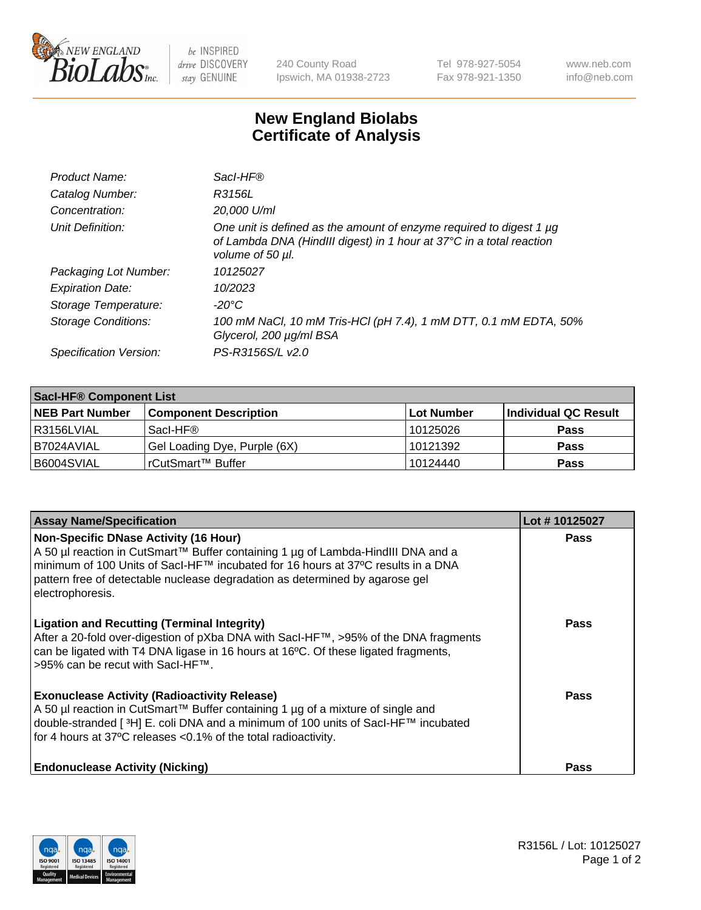

 $be$  INSPIRED drive DISCOVERY stay GENUINE

240 County Road Ipswich, MA 01938-2723 Tel 978-927-5054 Fax 978-921-1350 www.neb.com info@neb.com

## **New England Biolabs Certificate of Analysis**

| Product Name:              | Sacl-HF®                                                                                                                                                        |
|----------------------------|-----------------------------------------------------------------------------------------------------------------------------------------------------------------|
| Catalog Number:            | R3156L                                                                                                                                                          |
| Concentration:             | 20,000 U/ml                                                                                                                                                     |
| Unit Definition:           | One unit is defined as the amount of enzyme required to digest 1 µg<br>of Lambda DNA (HindIII digest) in 1 hour at 37°C in a total reaction<br>volume of 50 µl. |
| Packaging Lot Number:      | 10125027                                                                                                                                                        |
| <b>Expiration Date:</b>    | 10/2023                                                                                                                                                         |
| Storage Temperature:       | -20°C                                                                                                                                                           |
| <b>Storage Conditions:</b> | 100 mM NaCl, 10 mM Tris-HCl (pH 7.4), 1 mM DTT, 0.1 mM EDTA, 50%<br>Glycerol, 200 µg/ml BSA                                                                     |
| Specification Version:     | PS-R3156S/L v2.0                                                                                                                                                |

| <b>Saci-HF® Component List</b> |                              |            |                      |  |  |
|--------------------------------|------------------------------|------------|----------------------|--|--|
| <b>NEB Part Number</b>         | <b>Component Description</b> | Lot Number | Individual QC Result |  |  |
| l R3156LVIAL                   | Sacl-HF®                     | 10125026   | <b>Pass</b>          |  |  |
| I B7024AVIAL                   | Gel Loading Dye, Purple (6X) | 10121392   | <b>Pass</b>          |  |  |
| B6004SVIAL                     | l rCutSmart™ Buffer_         | 10124440   | <b>Pass</b>          |  |  |

| <b>Assay Name/Specification</b>                                                                                                                                                                                                                                                                                          | Lot #10125027 |
|--------------------------------------------------------------------------------------------------------------------------------------------------------------------------------------------------------------------------------------------------------------------------------------------------------------------------|---------------|
| <b>Non-Specific DNase Activity (16 Hour)</b><br>A 50 µl reaction in CutSmart™ Buffer containing 1 µg of Lambda-HindIII DNA and a<br>minimum of 100 Units of Sacl-HF™ incubated for 16 hours at 37°C results in a DNA<br>pattern free of detectable nuclease degradation as determined by agarose gel<br>electrophoresis. | <b>Pass</b>   |
| <b>Ligation and Recutting (Terminal Integrity)</b><br>After a 20-fold over-digestion of pXba DNA with SacI-HF™, >95% of the DNA fragments<br>can be ligated with T4 DNA ligase in 16 hours at 16°C. Of these ligated fragments,<br>>95% can be recut with SacI-HF™.                                                      | <b>Pass</b>   |
| <b>Exonuclease Activity (Radioactivity Release)</b><br>A 50 µl reaction in CutSmart™ Buffer containing 1 µg of a mixture of single and<br>double-stranded [3H] E. coli DNA and a minimum of 100 units of SacI-HF™ incubated<br>for 4 hours at 37°C releases <0.1% of the total radioactivity.                            | <b>Pass</b>   |
| <b>Endonuclease Activity (Nicking)</b>                                                                                                                                                                                                                                                                                   | Pass          |